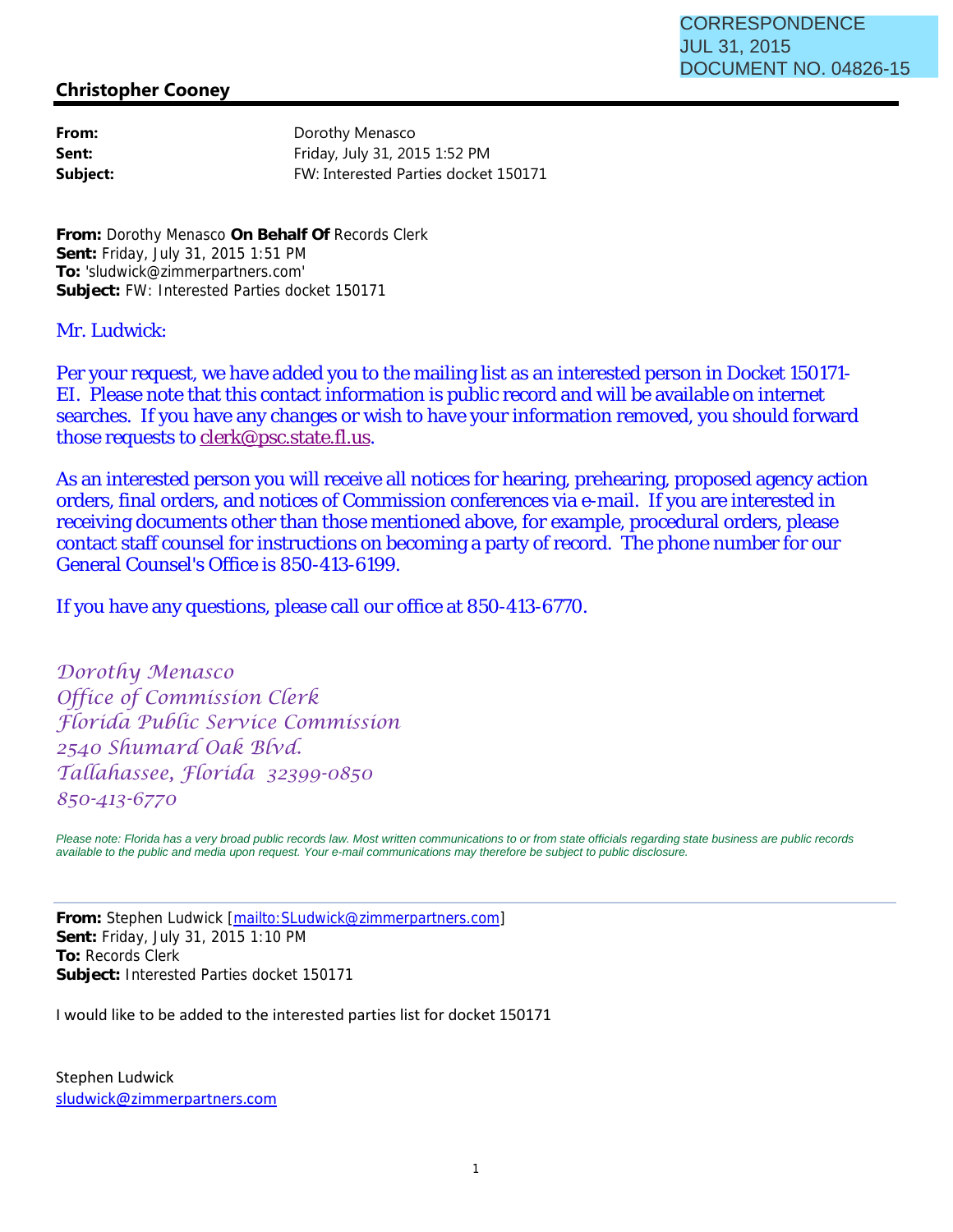## **Christopher Cooney**

| From:    |
|----------|
| Sent:    |
| Subject: |

**From:** Dorothy Menasco **Sent:** Friday, July 31, 2015 1:52 PM **Subject:** FW: Interested Parties docket 150171

**From:** Dorothy Menasco **On Behalf Of** Records Clerk **Sent:** Friday, July 31, 2015 1:51 PM **To:** 'sludwick@zimmerpartners.com' **Subject:** FW: Interested Parties docket 150171

## Mr. Ludwick:

Per your request, we have added you to the mailing list as an interested person in Docket 150171- EI. Please note that this contact information is public record and will be available on internet searches. If you have any changes or wish to have your information removed, you should forward those requests to clerk@psc.state.fl.us.

As an interested person you will receive all notices for hearing, prehearing, proposed agency action orders, final orders, and notices of Commission conferences via e-mail. If you are interested in receiving documents other than those mentioned above, for example, procedural orders, please contact staff counsel for instructions on becoming a party of record. The phone number for our General Counsel's Office is 850-413-6199.

If you have any questions, please call our office at 850-413-6770.

Dorothy Menasco Office of Commission Clerk Florida Public Service Commission 2540 Shumard Oak Blvd. Tallahassee, Florida 32399-0850 850-413-6770

*Please note: Florida has a very broad public records law. Most written communications to or from state officials regarding state business are public records available to the public and media upon request. Your e-mail communications may therefore be subject to public disclosure.*

**From:** Stephen Ludwick [mailto:SLudwick@zimmerpartners.com] **Sent:** Friday, July 31, 2015 1:10 PM **To:** Records Clerk **Subject:** Interested Parties docket 150171

I would like to be added to the interested parties list for docket 150171

Stephen Ludwick sludwick@zimmerpartners.com